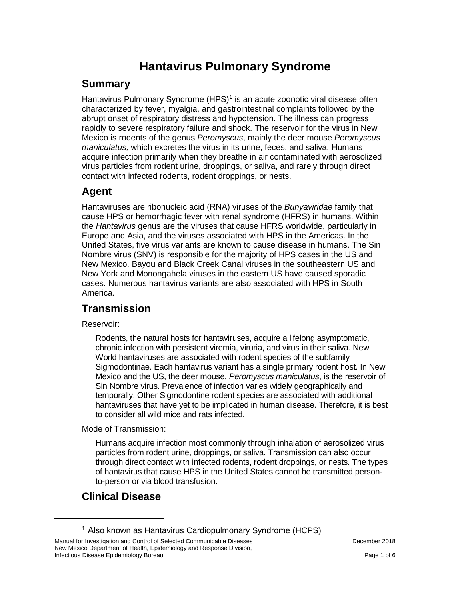# **Hantavirus Pulmonary Syndrome**

#### **Summary**

Hantavirus Pulmonary Syndrome (HPS)<sup>[1](#page-0-0)</sup> is an acute zoonotic viral disease often characterized by fever, myalgia, and gastrointestinal complaints followed by the abrupt onset of respiratory distress and hypotension. The illness can progress rapidly to severe respiratory failure and shock. The reservoir for the virus in New Mexico is rodents of the genus *Peromyscus*, mainly the deer mouse *Peromyscus maniculatus,* which excretes the virus in its urine, feces, and saliva. Humans acquire infection primarily when they breathe in air contaminated with aerosolized virus particles from rodent urine, droppings, or saliva, and rarely through direct contact with infected rodents, rodent droppings, or nests.

### **Agent**

Hantaviruses are ribonucleic acid (RNA) viruses of the *Bunyaviridae* family that cause HPS or hemorrhagic fever with renal syndrome (HFRS) in humans. Within the *Hantavirus* genus are the viruses that cause HFRS worldwide, particularly in Europe and Asia, and the viruses associated with HPS in the Americas. In the United States, five virus variants are known to cause disease in humans. The Sin Nombre virus (SNV) is responsible for the majority of HPS cases in the US and New Mexico. Bayou and Black Creek Canal viruses in the southeastern US and New York and Monongahela viruses in the eastern US have caused sporadic cases. Numerous hantavirus variants are also associated with HPS in South America.

# **Transmission**

Reservoir:

Rodents, the natural hosts for hantaviruses, acquire a lifelong asymptomatic, chronic infection with persistent viremia, viruria, and virus in their saliva. New World hantaviruses are associated with rodent species of the subfamily Sigmodontinae. Each hantavirus variant has a single primary rodent host. In New Mexico and the US, the deer mouse, *Peromyscus maniculatus*, is the reservoir of Sin Nombre virus. Prevalence of infection varies widely geographically and temporally. Other Sigmodontine rodent species are associated with additional hantaviruses that have yet to be implicated in human disease. Therefore, it is best to consider all wild mice and rats infected.

Mode of Transmission:

Humans acquire infection most commonly through inhalation of aerosolized virus particles from rodent urine, droppings, or saliva. Transmission can also occur through direct contact with infected rodents, rodent droppings, or nests. The types of hantavirus that cause HPS in the United States cannot be transmitted personto-person or via blood transfusion.

# **Clinical Disease**

 $\overline{a}$ 

<sup>1</sup> Also known as Hantavirus Cardiopulmonary Syndrome (HCPS)

<span id="page-0-0"></span>Manual for Investigation and Control of Selected Communicable Diseases **December 2018** December 2018 New Mexico Department of Health, Epidemiology and Response Division, Infectious Disease Epidemiology Bureau **Page 1 of 6** and 2008 and 2009 and 2008 and 2009 and 2008 and 2009 and 200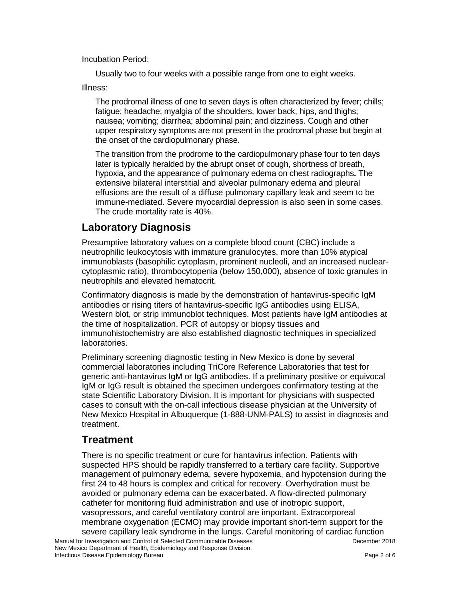Incubation Period:

Usually two to four weeks with a possible range from one to eight weeks.

Illness:

The prodromal illness of one to seven days is often characterized by fever; chills; fatigue; headache; myalgia of the shoulders, lower back, hips, and thighs; nausea; vomiting; diarrhea; abdominal pain; and dizziness. Cough and other upper respiratory symptoms are not present in the prodromal phase but begin at the onset of the cardiopulmonary phase.

The transition from the prodrome to the cardiopulmonary phase four to ten days later is typically heralded by the abrupt onset of cough, shortness of breath, hypoxia, and the appearance of pulmonary edema on chest radiographs**.** The extensive bilateral interstitial and alveolar pulmonary edema and pleural effusions are the result of a diffuse pulmonary capillary leak and seem to be immune-mediated. Severe myocardial depression is also seen in some cases. The crude mortality rate is 40%.

# **Laboratory Diagnosis**

Presumptive laboratory values on a complete blood count (CBC) include a neutrophilic leukocytosis with immature granulocytes, more than 10% atypical immunoblasts (basophilic cytoplasm, prominent nucleoli, and an increased nuclearcytoplasmic ratio), thrombocytopenia (below 150,000), absence of toxic granules in neutrophils and elevated hematocrit.

Confirmatory diagnosis is made by the demonstration of hantavirus-specific IgM antibodies or rising titers of hantavirus-specific IgG antibodies using ELISA, Western blot, or strip immunoblot techniques. Most patients have IgM antibodies at the time of hospitalization. PCR of autopsy or biopsy tissues and immunohistochemistry are also established diagnostic techniques in specialized laboratories.

Preliminary screening diagnostic testing in New Mexico is done by several commercial laboratories including TriCore Reference Laboratories that test for generic anti-hantavirus IgM or IgG antibodies. If a preliminary positive or equivocal IgM or IgG result is obtained the specimen undergoes confirmatory testing at the state Scientific Laboratory Division. It is important for physicians with suspected cases to consult with the on-call infectious disease physician at the University of New Mexico Hospital in Albuquerque (1-888-UNM-PALS) to assist in diagnosis and treatment.

#### **Treatment**

There is no specific treatment or cure for hantavirus infection. Patients with suspected HPS should be rapidly transferred to a tertiary care facility. Supportive management of pulmonary edema, severe hypoxemia, and hypotension during the first 24 to 48 hours is complex and critical for recovery. Overhydration must be avoided or pulmonary edema can be exacerbated. A flow-directed pulmonary catheter for monitoring fluid administration and use of inotropic support, vasopressors, and careful ventilatory control are important. Extracorporeal membrane oxygenation (ECMO) may provide important short-term support for the severe capillary leak syndrome in the lungs. Careful monitoring of cardiac function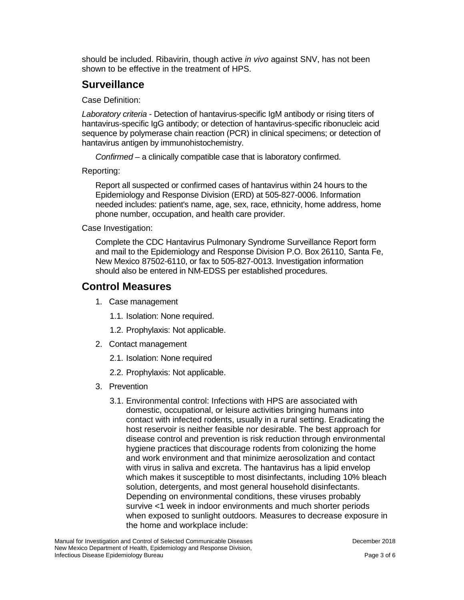should be included. Ribavirin, though active *in vivo* against SNV, has not been shown to be effective in the treatment of HPS.

## **Surveillance**

Case Definition:

*Laboratory criteria* - Detection of hantavirus-specific IgM antibody or rising titers of hantavirus-specific IgG antibody; or detection of hantavirus-specific ribonucleic acid sequence by polymerase chain reaction (PCR) in clinical specimens; or detection of hantavirus antigen by immunohistochemistry.

*Confirmed* – a clinically compatible case that is laboratory confirmed.

Reporting:

Report all suspected or confirmed cases of hantavirus within 24 hours to the Epidemiology and Response Division (ERD) at 505-827-0006. Information needed includes: patient's name, age, sex, race, ethnicity, home address, home phone number, occupation, and health care provider.

Case Investigation:

Complete the CDC Hantavirus Pulmonary Syndrome Surveillance Report form and mail to the Epidemiology and Response Division P.O. Box 26110, Santa Fe, New Mexico 87502-6110, or fax to 505-827-0013. Investigation information should also be entered in NM-EDSS per established procedures.

#### **Control Measures**

- 1. Case management
	- 1.1. Isolation: None required.
	- 1.2. Prophylaxis: Not applicable.
- 2. Contact management
	- 2.1. Isolation: None required
	- 2.2. Prophylaxis: Not applicable.
- 3. Prevention
	- 3.1. Environmental control: Infections with HPS are associated with domestic, occupational, or leisure activities bringing humans into contact with infected rodents, usually in a rural setting. Eradicating the host reservoir is neither feasible nor desirable. The best approach for disease control and prevention is risk reduction through environmental hygiene practices that discourage rodents from colonizing the home and work environment and that minimize aerosolization and contact with virus in saliva and excreta. The hantavirus has a lipid envelop which makes it susceptible to most disinfectants, including 10% bleach solution, detergents, and most general household disinfectants. Depending on environmental conditions, these viruses probably survive <1 week in indoor environments and much shorter periods when exposed to sunlight outdoors. Measures to decrease exposure in the home and workplace include: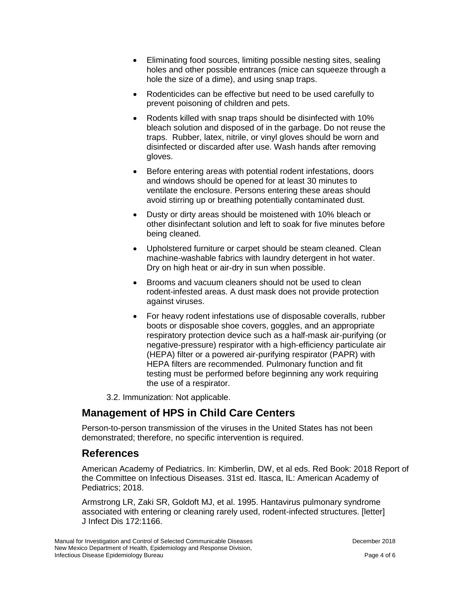- Eliminating food sources, limiting possible nesting sites, sealing holes and other possible entrances (mice can squeeze through a hole the size of a dime), and using snap traps.
- Rodenticides can be effective but need to be used carefully to prevent poisoning of children and pets.
- Rodents killed with snap traps should be disinfected with 10% bleach solution and disposed of in the garbage. Do not reuse the traps. Rubber, latex, nitrile, or vinyl gloves should be worn and disinfected or discarded after use. Wash hands after removing gloves.
- Before entering areas with potential rodent infestations, doors and windows should be opened for at least 30 minutes to ventilate the enclosure. Persons entering these areas should avoid stirring up or breathing potentially contaminated dust.
- Dusty or dirty areas should be moistened with 10% bleach or other disinfectant solution and left to soak for five minutes before being cleaned.
- Upholstered furniture or carpet should be steam cleaned. Clean machine-washable fabrics with laundry detergent in hot water. Dry on high heat or air-dry in sun when possible.
- Brooms and vacuum cleaners should not be used to clean rodent-infested areas. A dust mask does not provide protection against viruses.
- For heavy rodent infestations use of disposable coveralls, rubber boots or disposable shoe covers, goggles, and an appropriate respiratory protection device such as a half-mask air-purifying (or negative-pressure) respirator with a high-efficiency particulate air (HEPA) filter or a powered air-purifying respirator (PAPR) with HEPA filters are recommended. Pulmonary function and fit testing must be performed before beginning any work requiring the use of a respirator.

3.2. Immunization: Not applicable.

# **Management of HPS in Child Care Centers**

Person-to-person transmission of the viruses in the United States has not been demonstrated; therefore, no specific intervention is required.

#### **References**

American Academy of Pediatrics. In: Kimberlin, DW, et al eds. Red Book: 2018 Report of the Committee on Infectious Diseases. 31st ed. Itasca, IL: American Academy of Pediatrics; 2018.

Armstrong LR, Zaki SR, Goldoft MJ, et al. 1995. Hantavirus pulmonary syndrome associated with entering or cleaning rarely used, rodent-infected structures. [letter] J Infect Dis 172:1166.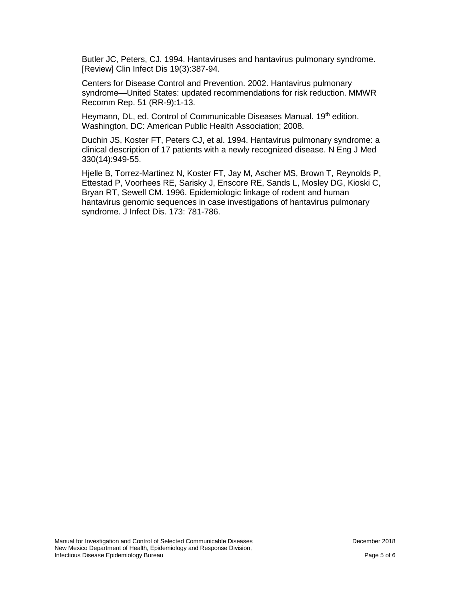Butler JC, Peters, CJ. 1994. Hantaviruses and hantavirus pulmonary syndrome. [Review] Clin Infect Dis 19(3):387-94.

Centers for Disease Control and Prevention. 2002. Hantavirus pulmonary syndrome—United States: updated recommendations for risk reduction. MMWR Recomm Rep. 51 (RR-9):1-13.

Heymann, DL, ed. Control of Communicable Diseases Manual. 19<sup>th</sup> edition. Washington, DC: American Public Health Association; 2008.

Duchin JS, Koster FT, Peters CJ, et al. 1994. Hantavirus pulmonary syndrome: a clinical description of 17 patients with a newly recognized disease. N Eng J Med 330(14):949-55.

Hjelle B, Torrez-Martinez N, Koster FT, Jay M, Ascher MS, Brown T, Reynolds P, Ettestad P, Voorhees RE, Sarisky J, Enscore RE, Sands L, Mosley DG, Kioski C, Bryan RT, Sewell CM. 1996. Epidemiologic linkage of rodent and human hantavirus genomic sequences in case investigations of hantavirus pulmonary syndrome. J Infect Dis. 173: 781-786.